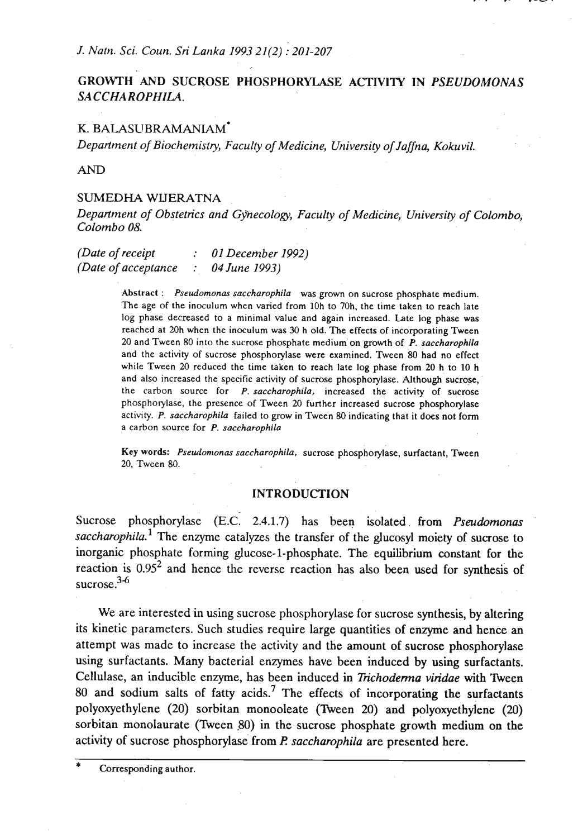*J. Natn. Sci. Coun. Sri Larlka 1993 21(2)* : *201-207* 

# **GROWTH AND SUCROSE PHOSPHORYLASE ACTIVITY IN** *PSEUDOMONAS SA CCHA ROPHILA.*

# K. BALASUBRAMANIAM\*

*Department of Biochemistry, Faculty of Medicine, University of Jaflna, Kokuvil.* 

AND

### SUMEDHA **WLTERATNA**

*Department of Obstetrics and Gynecology, Faculty of Medicine, University of Colombo, Colombo 08.* 

*(Date of receipt* : *01 December 1992) (Date of acceptance* : *04 June 1993)* 

> Abstract : *Pseudomonas saccharophila* was grown on sucrose phosphate medium. The age of the inoculum when varied from 10h to 70h, the time taken to reach late log phase decreased to a minimal value and again increased. Late log phase was reached at 20h when the inoculum was 30 h old. The effects of incorporating Tween 20 and Tween 80 into the sucrose phosphate medium'on growth of **P.** *saccharophila*  and the activity of sucrose phosphorylase were examined. Tween 80 had no effect while Tween 20 reduced the time taken to reach late log phase from 20 h to 10 h and also increased the specific activity of sucrose phosphorylase. Although sucrose, the carbon source for P. *saccharophila,* increased the activity of sucrose phosphorylase, the presence of Tween 20 further increased sucrose phosphorylase activity. *P. saccharophila* failed to grow in Tween 80 indicating that it does not fonn a carbon source for P. *saccharophila*

> Key words: Pseudomonas saccharophila, sucrose phosphorylase, surfactant, Tween 20, Tween 80.

#### **INTRODUCTION**

Sucrose phosphorylase **(E.c:** 2.4.1.7) has been isolated. from *Pseudomonas*  saccharophila.<sup>1</sup> The enzyme catalyzes the transfer of the glucosyl moiety of sucrose to inorganic phosphate forming glucose-1-phosphate. The equilibrium constant for the reaction is  $0.95<sup>2</sup>$  and hence the reverse reaction has also been used for synthesis of sucrose.<sup>3-6</sup>

We are interested in using sucrose phosphorylase for sucrose synthesis, by altering its kinetic parameters. Such studies require large quantities of enzyme and hence an attempt was made to increase the activity and the amount of sucrose phosphorylase using surfactants. Many bacterial enzymes have been induced by using surfactants. Cellulase, an inducible enzyme, has been induced in *Trichoderma viridae* with Tween 80 and sodium salts of fatty acids.<sup>7</sup> The effects of incorporating the surfactants polyoxyethylene (20) sorbitan monooleate (Theen 20) and polyoxyethylene **(20)**  sorbitan monolaurate (Tween 80) in the sucrose phosphate growth medium on the .activity of sucrose phosphorylase from *El saccharophila* are presented here.

Corresponding author.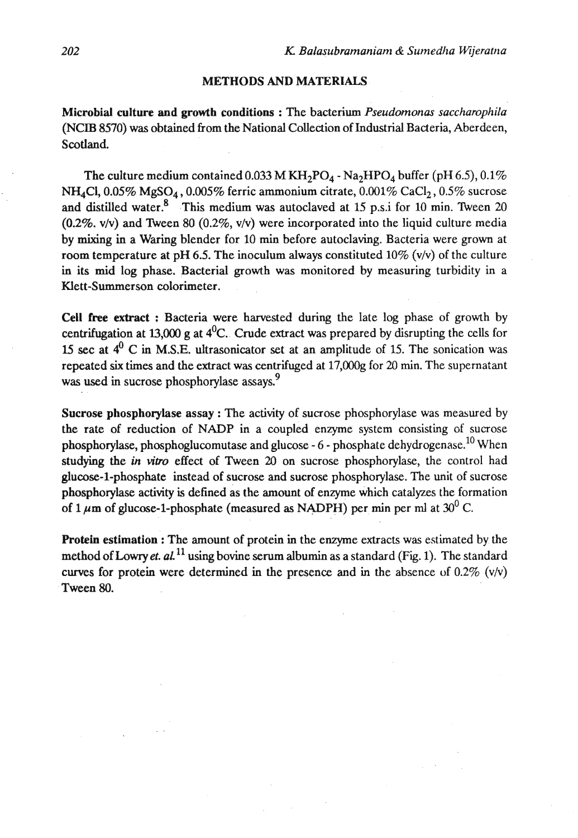# METHODS AND MATERIALS

Microbial culture and growth conditions : The bacterium *Pseudomonar saccharophila*  (NCIB 8570) was obtained from the National Collection of Industrial Bacteria, Aberdeen, Scotland.

The culture medium contained 0.033 M KH<sub>2</sub>PO<sub>4</sub> - Na<sub>2</sub>HPO<sub>4</sub> buffer (pH 6.5), 0.1%  $NH<sub>4</sub>Cl$ , 0.05% MgSO<sub>4</sub>, 0.005% ferric ammonium citrate, 0.001% CaCl<sub>2</sub>, 0.5% sucrose and distilled water. $8$  This medium was autoclaved at 15 p.s.i for 10 min. Tween 20 (0.2%. v/v) and Tween 80 (0.2%, v/v) were incorporated into the liquid culture media by mixing in a Waring blender for 10 **rnin** before autoclaving. Bacteria were grown at room temperature at pH 6.5. The inoculum always constituted  $10\%$  (v/v) of the culture in its mid log phase. Bacterial growth was monitored by measuring turbidity in a Klett-Summerson colorimeter.

Cell free extract : Bacteria were harvested during the late log phase of growth by centrifugation at 13,000 g at  $4^0C$ . Crude extract was prepared by disrupting the cells for 15 sec at  $4^0$  C in M.S.E. ultrasonicator set at an amplitude of 15. The sonication was repeated **six** times and the extract was centrifuged at 17,000g for **20** min. The supernatant was used in sucrose phosphorylase assays.<sup>9</sup>

Sucrose phosphorylase assay : The activity of sucrose phosphorylase was measured by the rate of reduction of NADP in a coupled enzyme system consisting of sucrose phosphorylase, phosphoglucomutase and glucose  $-6$  - phosphate dehydrogenase.<sup>10</sup> When studying the *in vitro* effect of Tween 20 on sucrose phosphorylase, the control had glucose-1-phosphate instead of sucrose and sucrose phosphorylase. The unit of sucrose phosphorylase activity is defined as the amount of enzyme which catalyzes the formation of  $1 \mu$ m of glucose-1-phosphate (measured as NADPH) per min per ml at  $30^0$  C.

Protein estimation : The amount of protein in the enzyme extracts **was** estimated by the method of Lowry *et.*  $aL^{11}$  using bovine serum albumin as a standard (Fig. 1). The standard curves for protein were determined in the presence and in the absence of  $0.2\%$  (v/v) Tween 80.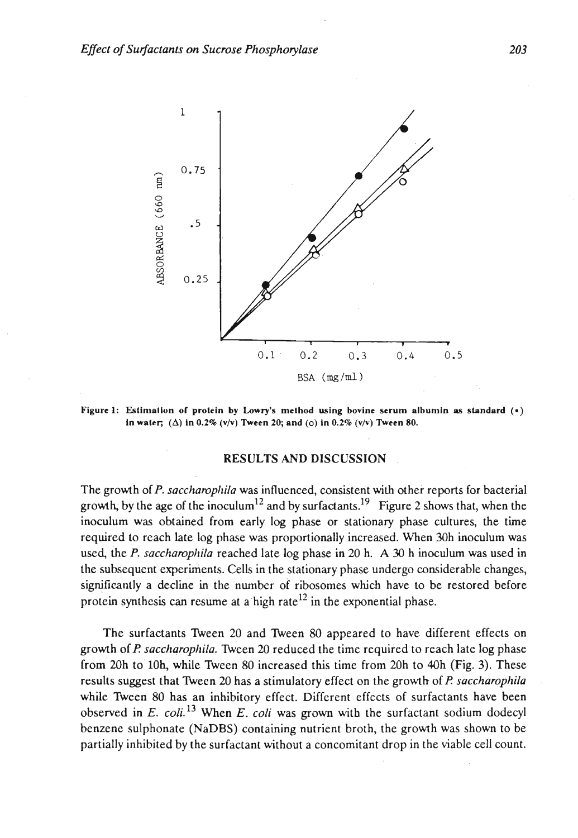

**Figure 1:** Estimation of protein by Lowry's method using bovine serum albumin as standard  $(0)$ **In water;** ( $\Delta$ ) **in 0.2%** ( $v/v$ ) Tween 20; and ( $o$ ) **in 0.2%** ( $v/v$ ) Tween 80.

#### RESULTS AND DlSCUSSlON

The growth of P. saccharophila was influenced, consistent with other reports for bacterial growth, by the age of the inoculum<sup>12</sup> and by surfactants.<sup>19</sup> Figure 2 shows that, when the inoculum was obtained from early log phase or stationary phase cultures, the time required to reach late log phase **was** proportionally increased. When 30h inoculum was used, the P. saccharophila reached late log phase in 20 h. A 30 h inoculum was used in the subsequcnt experiments. Cells in the stationary phase undergo considerable changes, significantly a decline in the number of ribosomes which have to be restored before protein synthesis can resume at a high rate<sup>12</sup> in the exponential phase.

The surfactants Ween 20 and Ween 80 appeared to have different effects on growth of **I?** *saccharopkila.* Ween **20** reduced the time required to reach late log phase from 20h to 10h, while Tween 80 increased this time from 20h to 40h (Fig. 3). These results suggest that Ween 20 has a stimulatory effect on the growth of **P** *saccharophila* . while Tween 80 has an inhibitory effect. Different effects of surfactants have been observed in E. *coli.13* When *E. coli* was **grown** with the surfactant sodium dodecyl benzene sulphonate (NaDBS) containing nutrient broth, the growth was shown to be partially inhibited by the surfactant without a concomitant drop in the viable cell count.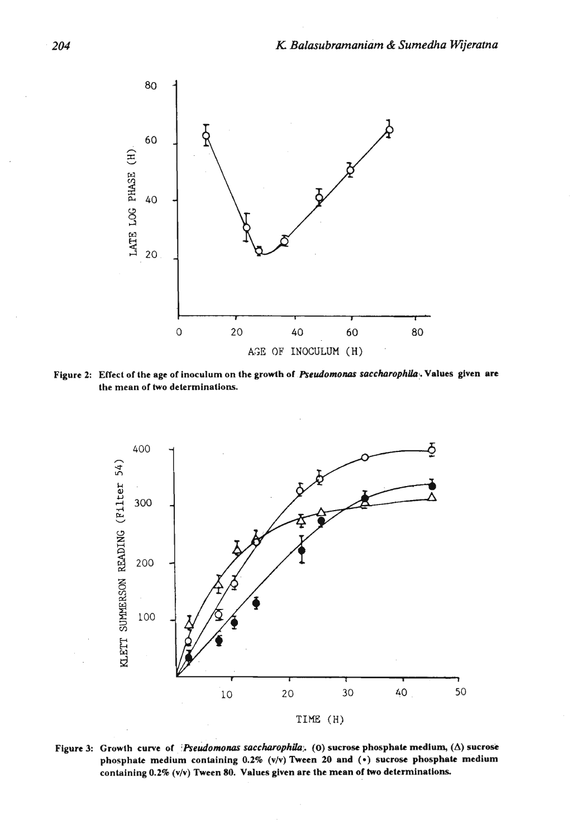

Figure 2: Effect of the age of inoculum on the growth of Pseudomonas saccharophila. Values given are **the mean of two determinations.** 



Figure 3: Growth curve of *Pseudomonas saccharophila*; (0) sucrose phosphate medium,  $(\Delta)$  sucrose **phosphate medium containing 0.2% (v/v) Tween 20 and** (\*) **sucrose phosphate medium containing 0.2% (vlv) Tween 80. Values given are the mean of two determinations**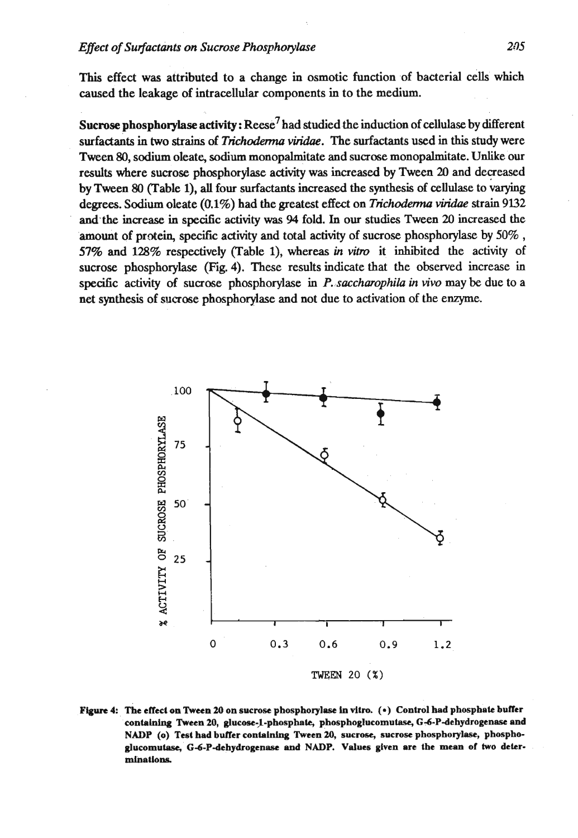# *Effect of Surfactants on Sucrose Phosphorylase* **<b>***205*

This effect was attributed to a change in osmotic function of bacterial **cells** which caused the leakage of intracellular components in to the medium.

**Sucrose phosphorylase activity: Reese<sup>7</sup> had studied the induction of cellulase by different** surfactants in two **strains** of *Tnchodem* **viridae.** The surfactants used in this study were Tween 80, sodium oleate, sodium monopalmitate and sucrose monopalmitate. Unlike our results where sucrose phosphorylase activity was increased by Tween 20 and decreased by Tween *80* (Table I), **all** four surfactants increased the synthesis of cellulase to degrees. Sodium oleate (0.1%) had the greatest effect on *Trichoderma viridae* strain 9132 **and** the increase in specific activity **was** 94 fold. In our studies Tween 20 increased the amount of protein, specific activity and total activity of sucrose phosphorylase by 50%, 57% and 128% respectively (Table 1), whereas in vitro it inhibited the activity of sucrose phosphorylase (Fig. 4). These results indicate that the observed increase in specific activity of sucrose phosphorylase in P. *saccharophila in vivo* may be due to a net synthesis of sucrose phosphorylase and not due to activation of the enzyme.



**Figure 4:, The effecl on Tween 20 on sucrose phosphorylase** lo **vllro.** (\*) **Control had phosphhlc bufler**  containing Tween 20, glucose-1-phosphate, phosphoglucomutase, G-6-P-dehydrogenase and NADP (o) Test had buffer containing Tween 20, sucrose, sucrose phosphorylase, phosphoglucomutase, G-6-P-dehydrogenase and NADP. Values given are the mean of two deter**mlnations**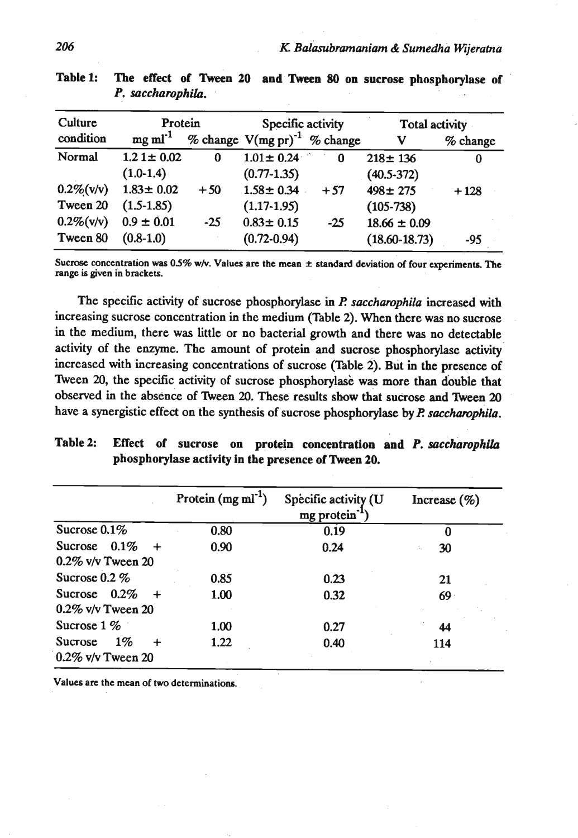| Culture       | Protein               |       | Specific activity                 |       | Total activity    |            |
|---------------|-----------------------|-------|-----------------------------------|-------|-------------------|------------|
| condition     | $mg$ ml <sup>-1</sup> |       | % change $V(mg pr)^{-1}$ % change |       | V                 | $%$ change |
| Normal        | $1.21 \pm 0.02$       | 0     | $1.01 \pm 0.24$                   | 0     | $218 \pm 136$     | 0          |
|               | $(1.0-1.4)$           |       | $(0.77 - 1.35)$                   |       | $(40.5 - 372)$    |            |
| $0.2\%$ (v/v) | $1.83 \pm 0.02$       | $+50$ | $1.58 \pm 0.34$                   | $+57$ | $498 \pm 275$     | $+128$     |
| Tween 20      | $(1.5-1.85)$          |       | $(1.17-1.95)$                     |       | $(105-738)$       |            |
| $0.2\%$ (v/v) | $0.9 \pm 0.01$        | $-25$ | $0.83 \pm 0.15$                   | $-25$ | $18.66 \pm 0.09$  |            |
| Tween 80      | $(0.8-1.0)$           |       | $(0.72 - 0.94)$                   |       | $(18.60 - 18.73)$ | -95        |

Table 1: The effect of Tween 20 and Tween 80 on sucrose phosphorylase of **P.** *saccharophila.* 

**Sucrose concentration was 05% whr. Values are the mean** \* **standard deviation of four experiments. The range is given in brackets.** 

The specific activity of sucrose phosphorylase in *P. saccharophila* increased with increasing sucrose concentration in the medium (Table 2). When there was no sucrose in the medium, there was little or no bacterial growth and there was no detectable activity of the enzyme. The amount of protein and sucrose phosphorylase activity increased with increasing concentrations of sucrose (Table 2). But in the presence of Tween 20, the specific activity of sucrose phosphorylase was more than double that observed in the absence of Tween 20. These results show that sucrose and Tween 20 have a synergistic effect on the synthesis of sucrose phosphorylase by P. saccharophila.

| Table 2: |  |  |                                                     | Effect of sucrose on protein concentration and P. saccharophila |
|----------|--|--|-----------------------------------------------------|-----------------------------------------------------------------|
|          |  |  | phosphorylase activity in the presence of Tween 20. |                                                                 |
|          |  |  |                                                     |                                                                 |

|                                          | Protein $(mg \, ml^{-1})$ | Specific activity (U<br>mg protein | Increase $(\% )$ |
|------------------------------------------|---------------------------|------------------------------------|------------------|
| Sucrose $0.1\%$                          | 0.80                      | 0.19                               |                  |
| Sucrose $0.1\%$<br>0.2% v/v Tween 20     | 0.90                      | 0.24                               | 30               |
| Sucrose 0.2 %                            | 0.85                      | 0.23                               | 21               |
| Sucrose $0.2\%$<br>$0.2\%$ v/v Tween 20  | 1.00                      | 0.32                               | 69               |
| Sucrose $1\%$                            | 1.00                      | 0.27                               | 44               |
| $1\%$<br>Sucrose<br>$0.2\%$ v/v Tween 20 | 1.22                      | 0.40                               | 114              |

**Values arc the mean of two determinations.**